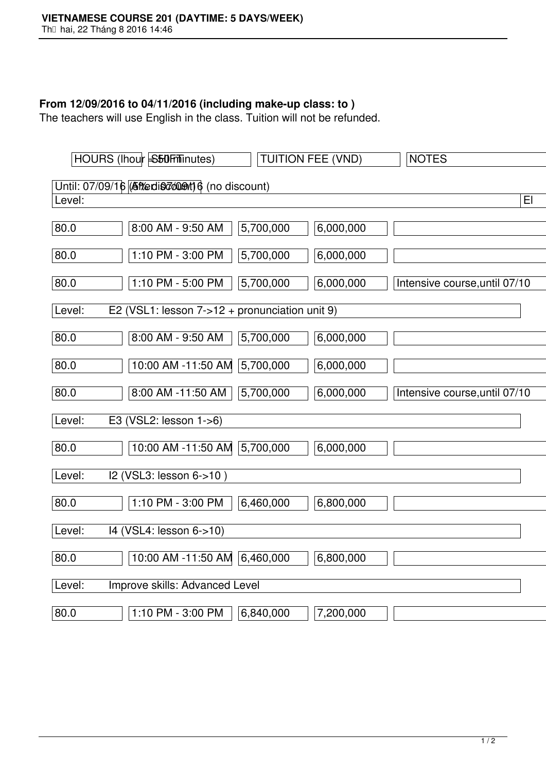## **From 12/09/2016 to 04/11/2016 (including make-up class: to )**

The teachers will use English in the class. Tuition will not be refunded.

|                                                | HOURS (lhour S50Fminutes)                       |           | <b>TUITION FEE (VND)</b> | <b>NOTES</b>                  |
|------------------------------------------------|-------------------------------------------------|-----------|--------------------------|-------------------------------|
| Until: 07/09/16 (Aftedis down) 6 (no discount) |                                                 |           |                          |                               |
| Level:                                         |                                                 |           |                          | E                             |
| 80.0                                           | 8:00 AM - 9:50 AM                               | 5,700,000 | 6,000,000                |                               |
| $\boxed{80.0}$                                 | 1:10 PM - 3:00 PM                               | 5,700,000 | 6,000,000                |                               |
| $\boxed{80.0}$                                 | 1:10 PM - 5:00 PM                               | 5,700,000 | 6,000,000                | Intensive course, until 07/10 |
| Level:                                         | E2 (VSL1: lesson $7-12$ + pronunciation unit 9) |           |                          |                               |
| $\boxed{80.0}$                                 | $8:00$ AM - 9:50 AM                             | 5,700,000 | 6,000,000                |                               |
| $\boxed{80.0}$                                 | 10:00 AM -11:50 AM 5,700,000                    |           | 6,000,000                |                               |
| $\boxed{80.0}$                                 | 8:00 AM -11:50 AM                               | 5,700,000 | 6,000,000                | Intensive course, until 07/10 |
| Level:                                         | E3 (VSL2: lesson 1->6)                          |           |                          |                               |
| 80.0                                           | 10:00 AM -11:50 AM 5,700,000                    |           | 6,000,000                |                               |
| Level:                                         | I2 (VSL3: lesson 6->10)                         |           |                          |                               |
| $\boxed{80.0}$                                 | 1:10 PM - 3:00 PM                               | 6,460,000 | 6,800,000                |                               |
| Level:                                         | 14 (VSL4: lesson 6->10)                         |           |                          |                               |
| 80.0                                           | 10:00 AM -11:50 AM 6,460,000                    |           | 6,800,000                |                               |
| Improve skills: Advanced Level<br>Level:       |                                                 |           |                          |                               |
| 80.0                                           | 1:10 PM - 3:00 PM                               | 6,840,000 | 7,200,000                |                               |